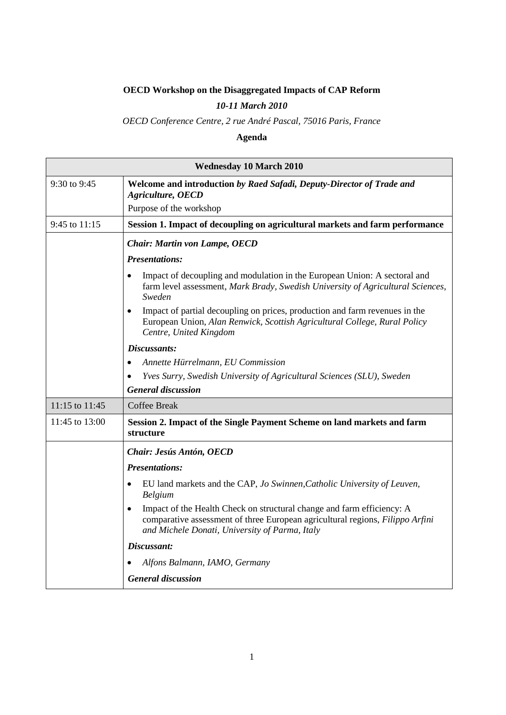## **OECD Workshop on the Disaggregated Impacts of CAP Reform**

## *10-11 March 2010*

## *OECD Conference Centre, 2 rue André Pascal, 75016 Paris, France*

## **Agenda**

| <b>Wednesday 10 March 2010</b> |                                                                                                                                                                                                                        |  |
|--------------------------------|------------------------------------------------------------------------------------------------------------------------------------------------------------------------------------------------------------------------|--|
| 9:30 to 9:45                   | Welcome and introduction by Raed Safadi, Deputy-Director of Trade and<br>Agriculture, OECD<br>Purpose of the workshop                                                                                                  |  |
| 9:45 to 11:15                  | Session 1. Impact of decoupling on agricultural markets and farm performance                                                                                                                                           |  |
|                                | <b>Chair: Martin von Lampe, OECD</b>                                                                                                                                                                                   |  |
|                                | <b>Presentations:</b>                                                                                                                                                                                                  |  |
|                                | Impact of decoupling and modulation in the European Union: A sectoral and<br>$\bullet$<br>farm level assessment, Mark Brady, Swedish University of Agricultural Sciences,<br>Sweden                                    |  |
|                                | Impact of partial decoupling on prices, production and farm revenues in the<br>$\bullet$<br>European Union, Alan Renwick, Scottish Agricultural College, Rural Policy<br>Centre, United Kingdom                        |  |
|                                | Discussants:                                                                                                                                                                                                           |  |
|                                | Annette Hürrelmann, EU Commission<br>$\bullet$                                                                                                                                                                         |  |
|                                | Yves Surry, Swedish University of Agricultural Sciences (SLU), Sweden                                                                                                                                                  |  |
|                                | <b>General discussion</b>                                                                                                                                                                                              |  |
| 11:15 to 11:45                 | <b>Coffee Break</b>                                                                                                                                                                                                    |  |
| 11:45 to 13:00                 | Session 2. Impact of the Single Payment Scheme on land markets and farm<br>structure                                                                                                                                   |  |
|                                | Chair: Jesús Antón, OECD                                                                                                                                                                                               |  |
|                                | <b>Presentations:</b>                                                                                                                                                                                                  |  |
|                                | EU land markets and the CAP, Jo Swinnen, Catholic University of Leuven,<br>$\bullet$<br>Belgium                                                                                                                        |  |
|                                | Impact of the Health Check on structural change and farm efficiency: A<br>$\bullet$<br>comparative assessment of three European agricultural regions, Filippo Arfini<br>and Michele Donati, University of Parma, Italy |  |
|                                | Discussant:                                                                                                                                                                                                            |  |
|                                | Alfons Balmann, IAMO, Germany                                                                                                                                                                                          |  |
|                                | <b>General discussion</b>                                                                                                                                                                                              |  |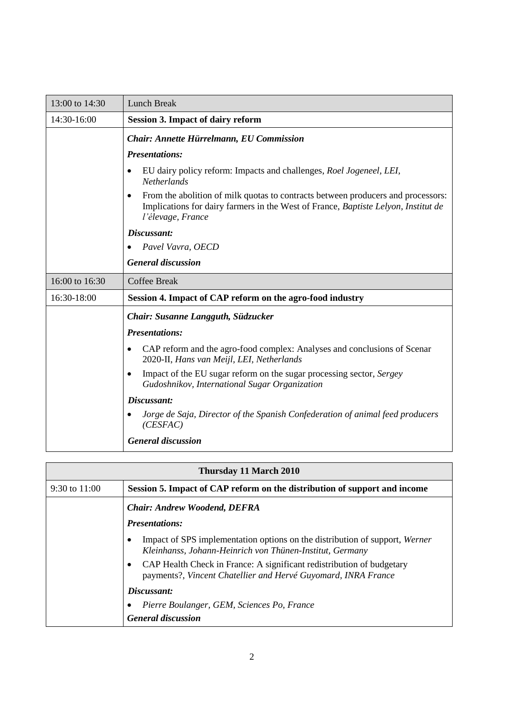| 13:00 to 14:30 | <b>Lunch Break</b>                                                                                                                                                                          |
|----------------|---------------------------------------------------------------------------------------------------------------------------------------------------------------------------------------------|
| 14:30-16:00    | <b>Session 3. Impact of dairy reform</b>                                                                                                                                                    |
|                | Chair: Annette Hürrelmann, EU Commission                                                                                                                                                    |
|                | <b>Presentations:</b>                                                                                                                                                                       |
|                | EU dairy policy reform: Impacts and challenges, Roel Jogeneel, LEI,<br><b>Netherlands</b>                                                                                                   |
|                | From the abolition of milk quotas to contracts between producers and processors:<br>Implications for dairy farmers in the West of France, Baptiste Lelyon, Institut de<br>l'élevage, France |
|                | Discussant:                                                                                                                                                                                 |
|                | Pavel Vavra, OECD                                                                                                                                                                           |
|                | <b>General discussion</b>                                                                                                                                                                   |
| 16:00 to 16:30 | <b>Coffee Break</b>                                                                                                                                                                         |
| 16:30-18:00    | Session 4. Impact of CAP reform on the agro-food industry                                                                                                                                   |
|                | Chair: Susanne Langguth, Südzucker                                                                                                                                                          |
|                | <b>Presentations:</b>                                                                                                                                                                       |
|                | CAP reform and the agro-food complex: Analyses and conclusions of Scenar<br>2020-II, Hans van Meijl, LEI, Netherlands                                                                       |
|                | Impact of the EU sugar reform on the sugar processing sector, Sergey<br>Gudoshnikov, International Sugar Organization                                                                       |
|                | Discussant:                                                                                                                                                                                 |
|                | Jorge de Saja, Director of the Spanish Confederation of animal feed producers<br>(CESFAC)                                                                                                   |
|                | <b>General discussion</b>                                                                                                                                                                   |

| Thursday 11 March 2010 |                                                                                                                                                     |  |
|------------------------|-----------------------------------------------------------------------------------------------------------------------------------------------------|--|
| 9:30 to $11:00$        | Session 5. Impact of CAP reform on the distribution of support and income                                                                           |  |
|                        | <b>Chair: Andrew Woodend, DEFRA</b>                                                                                                                 |  |
|                        | <b>Presentations:</b>                                                                                                                               |  |
|                        | Impact of SPS implementation options on the distribution of support, Werner<br>Kleinhanss, Johann-Heinrich von Thünen-Institut, Germany             |  |
|                        | CAP Health Check in France: A significant redistribution of budgetary<br>$\bullet$<br>payments?, Vincent Chatellier and Hervé Guyomard, INRA France |  |
|                        | Discussant:                                                                                                                                         |  |
|                        | Pierre Boulanger, GEM, Sciences Po, France                                                                                                          |  |
|                        | <b>General discussion</b>                                                                                                                           |  |